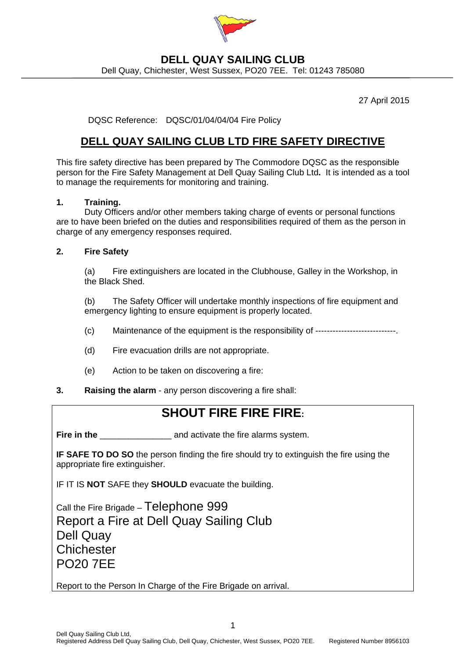

# **DELL QUAY SAILING CLUB**

Dell Quay, Chichester, West Sussex, PO20 7EE. Tel: 01243 785080

27 April 2015

DQSC Reference: DQSC/01/04/04/04 Fire Policy

### **DELL QUAY SAILING CLUB LTD FIRE SAFETY DIRECTIVE**

This fire safety directive has been prepared by The Commodore DQSC as the responsible person for the Fire Safety Management at Dell Quay Sailing Club Ltd**.** It is intended as a tool to manage the requirements for monitoring and training.

#### **1. Training.**

 Duty Officers and/or other members taking charge of events or personal functions are to have been briefed on the duties and responsibilities required of them as the person in charge of any emergency responses required.

#### **2. Fire Safety**

(a) Fire extinguishers are located in the Clubhouse, Galley in the Workshop, in the Black Shed.

(b) The Safety Officer will undertake monthly inspections of fire equipment and emergency lighting to ensure equipment is properly located.

- (c) Maintenance of the equipment is the responsibility of ----------------------------.
- (d) Fire evacuation drills are not appropriate.
- (e) Action to be taken on discovering a fire:
- **3. Raising the alarm** any person discovering a fire shall:

## **SHOUT FIRE FIRE FIRE:**

**Fire in the Fire in the** and activate the fire alarms system.

**IF SAFE TO DO SO** the person finding the fire should try to extinguish the fire using the appropriate fire extinguisher.

IF IT IS **NOT** SAFE they **SHOULD** evacuate the building.

Call the Fire Brigade – Telephone 999 Report a Fire at Dell Quay Sailing Club Dell Quay **Chichester** PO20 7EE

Report to the Person In Charge of the Fire Brigade on arrival.